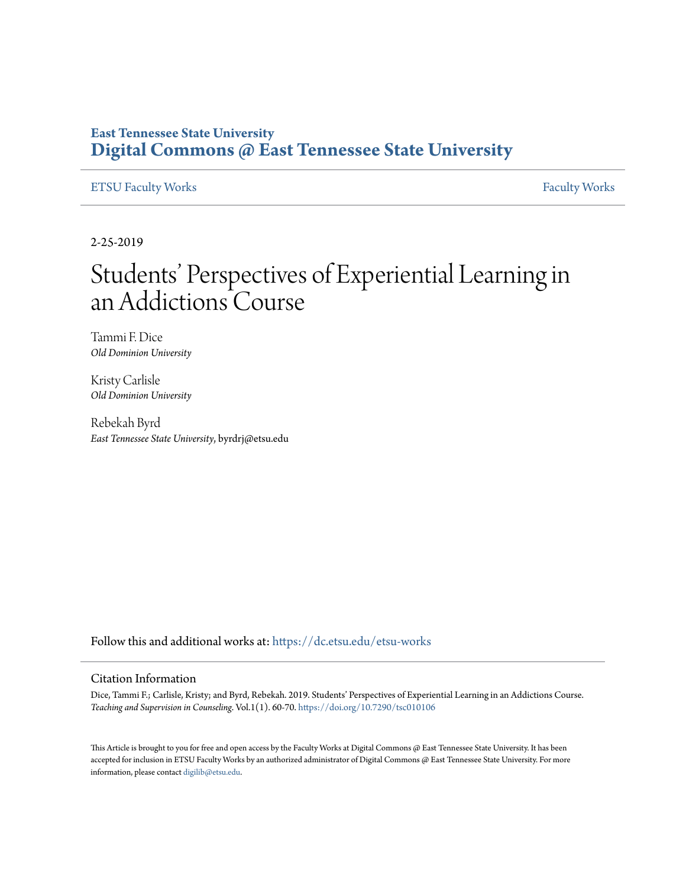#### **East Tennessee State University [Digital Commons @ East Tennessee State University](https://dc.etsu.edu/?utm_source=dc.etsu.edu%2Fetsu-works%2F5815&utm_medium=PDF&utm_campaign=PDFCoverPages)**

#### [ETSU Faculty Works](https://dc.etsu.edu/etsu-works?utm_source=dc.etsu.edu%2Fetsu-works%2F5815&utm_medium=PDF&utm_campaign=PDFCoverPages) [Faculty Works](https://dc.etsu.edu/faculty-works?utm_source=dc.etsu.edu%2Fetsu-works%2F5815&utm_medium=PDF&utm_campaign=PDFCoverPages) Faculty Works

2-25-2019

## Students' Perspectives of Experiential Learning in an Addictions Course

Tammi F. Dice *Old Dominion University*

Kristy Carlisle *Old Dominion University*

Rebekah Byrd *East Tennessee State University*, byrdrj@etsu.edu

Follow this and additional works at: [https://dc.etsu.edu/etsu-works](https://dc.etsu.edu/etsu-works?utm_source=dc.etsu.edu%2Fetsu-works%2F5815&utm_medium=PDF&utm_campaign=PDFCoverPages)

#### Citation Information

Dice, Tammi F.; Carlisle, Kristy; and Byrd, Rebekah. 2019. Students' Perspectives of Experiential Learning in an Addictions Course. *Teaching and Supervision in Counseling*. Vol.1(1). 60-70. <https://doi.org/10.7290/tsc010106>

This Article is brought to you for free and open access by the Faculty Works at Digital Commons @ East Tennessee State University. It has been accepted for inclusion in ETSU Faculty Works by an authorized administrator of Digital Commons @ East Tennessee State University. For more information, please contact [digilib@etsu.edu.](mailto:digilib@etsu.edu)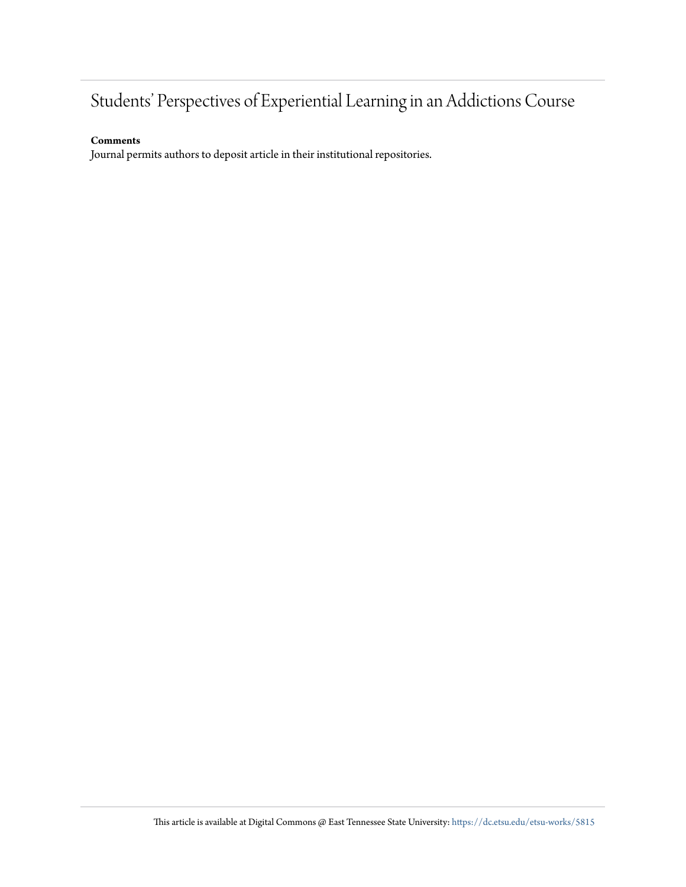## Students' Perspectives of Experiential Learning in an Addictions Course

#### **Comments**

Journal permits authors to deposit article in their institutional repositories.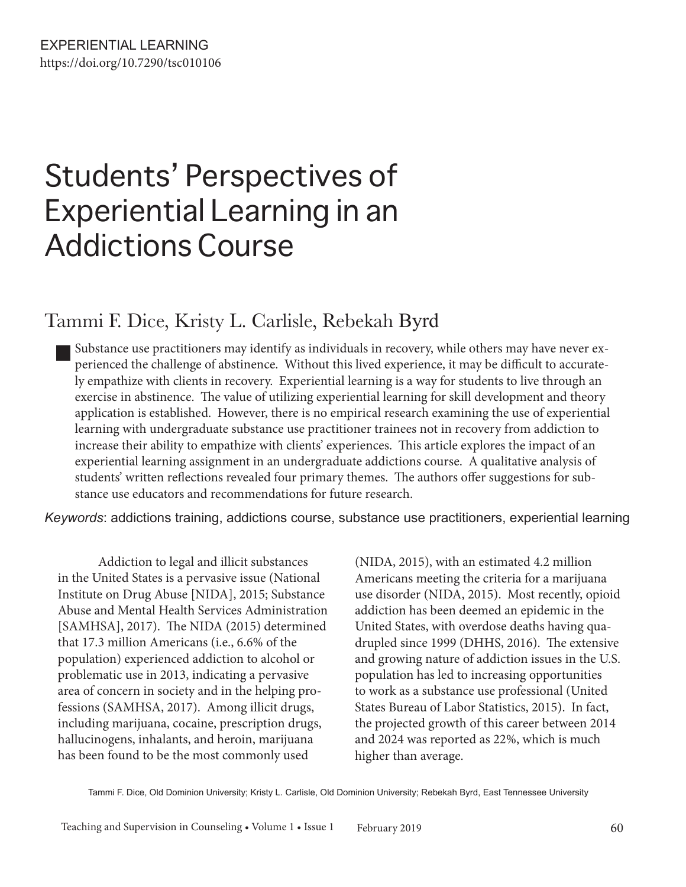# Students' Perspectives of Experiential Learning in an Addictions Course

### Tammi F. Dice, Kristy L. Carlisle, Rebekah Byrd

Substance use practitioners may identify as individuals in recovery, while others may have never experienced the challenge of abstinence. Without this lived experience, it may be difficult to accurately empathize with clients in recovery. Experiential learning is a way for students to live through an exercise in abstinence. The value of utilizing experiential learning for skill development and theory application is established. However, there is no empirical research examining the use of experiential learning with undergraduate substance use practitioner trainees not in recovery from addiction to increase their ability to empathize with clients' experiences. This article explores the impact of an experiential learning assignment in an undergraduate addictions course. A qualitative analysis of students' written reflections revealed four primary themes. The authors offer suggestions for substance use educators and recommendations for future research.

*Keywords*: addictions training, addictions course, substance use practitioners, experiential learning

Addiction to legal and illicit substances in the United States is a pervasive issue (National Institute on Drug Abuse [NIDA], 2015; Substance Abuse and Mental Health Services Administration [SAMHSA], 2017). The NIDA (2015) determined that 17.3 million Americans (i.e., 6.6% of the population) experienced addiction to alcohol or problematic use in 2013, indicating a pervasive area of concern in society and in the helping professions (SAMHSA, 2017). Among illicit drugs, including marijuana, cocaine, prescription drugs, hallucinogens, inhalants, and heroin, marijuana has been found to be the most commonly used

(NIDA, 2015), with an estimated 4.2 million Americans meeting the criteria for a marijuana use disorder (NIDA, 2015). Most recently, opioid addiction has been deemed an epidemic in the United States, with overdose deaths having quadrupled since 1999 (DHHS, 2016). The extensive and growing nature of addiction issues in the U.S. population has led to increasing opportunities to work as a substance use professional (United States Bureau of Labor Statistics, 2015). In fact, the projected growth of this career between 2014 and 2024 was reported as 22%, which is much higher than average.

Tammi F. Dice, Old Dominion University; Kristy L. Carlisle, Old Dominion University; Rebekah Byrd, East Tennessee University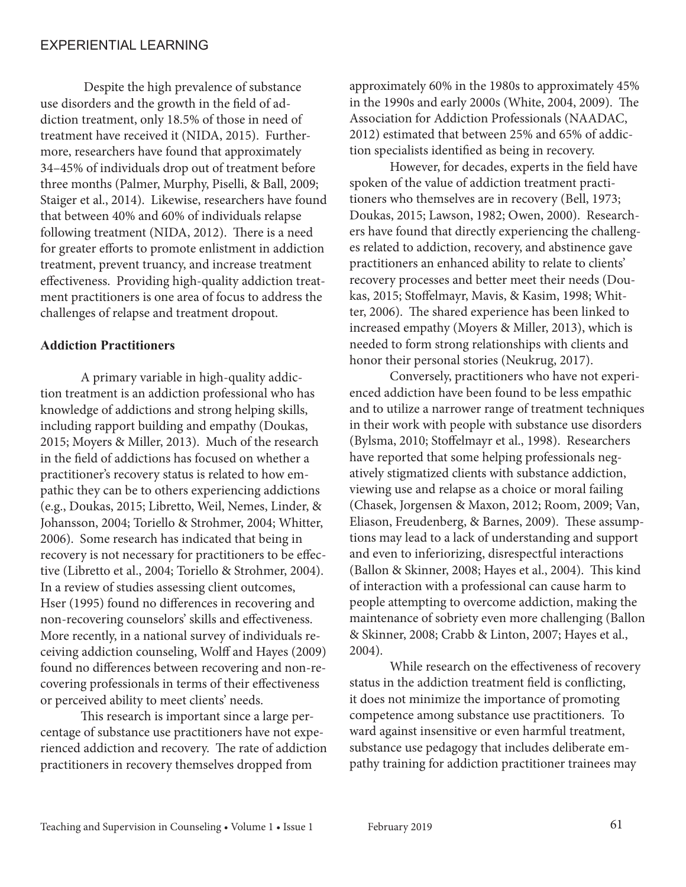Despite the high prevalence of substance use disorders and the growth in the field of addiction treatment, only 18.5% of those in need of treatment have received it (NIDA, 2015). Furthermore, researchers have found that approximately 34–45% of individuals drop out of treatment before three months (Palmer, Murphy, Piselli, & Ball, 2009; Staiger et al., 2014). Likewise, researchers have found that between 40% and 60% of individuals relapse following treatment (NIDA, 2012). There is a need for greater efforts to promote enlistment in addiction treatment, prevent truancy, and increase treatment effectiveness. Providing high-quality addiction treatment practitioners is one area of focus to address the challenges of relapse and treatment dropout.

#### **Addiction Practitioners**

A primary variable in high-quality addiction treatment is an addiction professional who has knowledge of addictions and strong helping skills, including rapport building and empathy (Doukas, 2015; Moyers & Miller, 2013). Much of the research in the field of addictions has focused on whether a practitioner's recovery status is related to how empathic they can be to others experiencing addictions (e.g., Doukas, 2015; Libretto, Weil, Nemes, Linder, & Johansson, 2004; Toriello & Strohmer, 2004; Whitter, 2006). Some research has indicated that being in recovery is not necessary for practitioners to be effective (Libretto et al., 2004; Toriello & Strohmer, 2004). In a review of studies assessing client outcomes, Hser (1995) found no differences in recovering and non-recovering counselors' skills and effectiveness. More recently, in a national survey of individuals receiving addiction counseling, Wolff and Hayes (2009) found no differences between recovering and non-recovering professionals in terms of their effectiveness or perceived ability to meet clients' needs.

This research is important since a large percentage of substance use practitioners have not experienced addiction and recovery. The rate of addiction practitioners in recovery themselves dropped from

approximately 60% in the 1980s to approximately 45% in the 1990s and early 2000s (White, 2004, 2009). The Association for Addiction Professionals (NAADAC, 2012) estimated that between 25% and 65% of addiction specialists identified as being in recovery.

However, for decades, experts in the field have spoken of the value of addiction treatment practitioners who themselves are in recovery (Bell, 1973; Doukas, 2015; Lawson, 1982; Owen, 2000). Researchers have found that directly experiencing the challenges related to addiction, recovery, and abstinence gave practitioners an enhanced ability to relate to clients' recovery processes and better meet their needs (Doukas, 2015; Stoffelmayr, Mavis, & Kasim, 1998; Whitter, 2006). The shared experience has been linked to increased empathy (Moyers & Miller, 2013), which is needed to form strong relationships with clients and honor their personal stories (Neukrug, 2017).

Conversely, practitioners who have not experienced addiction have been found to be less empathic and to utilize a narrower range of treatment techniques in their work with people with substance use disorders (Bylsma, 2010; Stoffelmayr et al., 1998). Researchers have reported that some helping professionals negatively stigmatized clients with substance addiction, viewing use and relapse as a choice or moral failing (Chasek, Jorgensen & Maxon, 2012; Room, 2009; Van, Eliason, Freudenberg, & Barnes, 2009). These assumptions may lead to a lack of understanding and support and even to inferiorizing, disrespectful interactions (Ballon & Skinner, 2008; Hayes et al., 2004). This kind of interaction with a professional can cause harm to people attempting to overcome addiction, making the maintenance of sobriety even more challenging (Ballon & Skinner, 2008; Crabb & Linton, 2007; Hayes et al., 2004).

While research on the effectiveness of recovery status in the addiction treatment field is conflicting, it does not minimize the importance of promoting competence among substance use practitioners. To ward against insensitive or even harmful treatment, substance use pedagogy that includes deliberate empathy training for addiction practitioner trainees may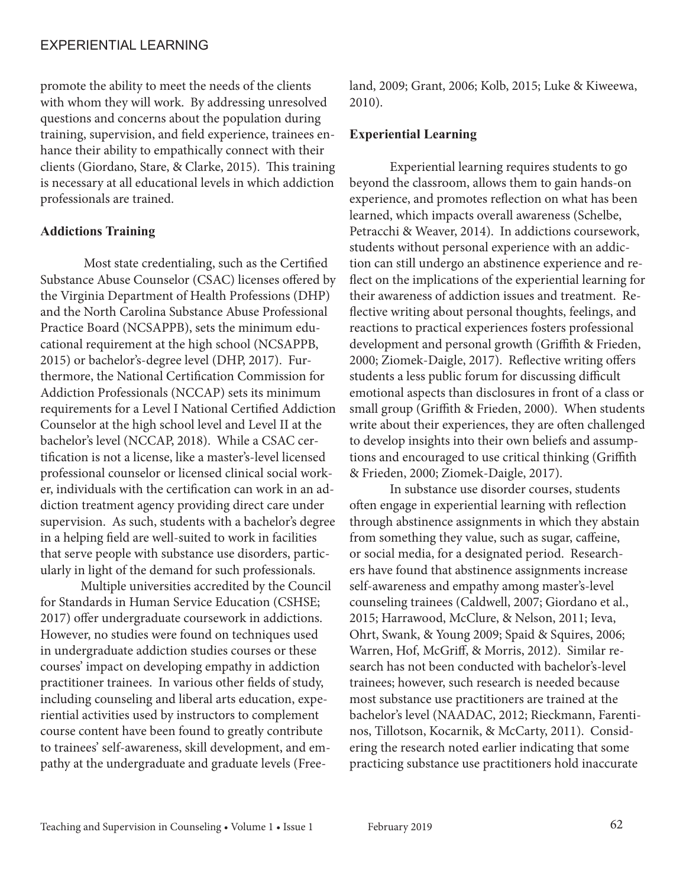promote the ability to meet the needs of the clients with whom they will work. By addressing unresolved questions and concerns about the population during training, supervision, and field experience, trainees enhance their ability to empathically connect with their clients (Giordano, Stare, & Clarke, 2015). This training is necessary at all educational levels in which addiction professionals are trained.

#### **Addictions Training**

 Most state credentialing, such as the Certified Substance Abuse Counselor (CSAC) licenses offered by the Virginia Department of Health Professions (DHP) and the North Carolina Substance Abuse Professional Practice Board (NCSAPPB), sets the minimum educational requirement at the high school (NCSAPPB, 2015) or bachelor's-degree level (DHP, 2017). Furthermore, the National Certification Commission for Addiction Professionals (NCCAP) sets its minimum requirements for a Level I National Certified Addiction Counselor at the high school level and Level II at the bachelor's level (NCCAP, 2018). While a CSAC certification is not a license, like a master's-level licensed professional counselor or licensed clinical social worker, individuals with the certification can work in an addiction treatment agency providing direct care under supervision. As such, students with a bachelor's degree in a helping field are well-suited to work in facilities that serve people with substance use disorders, particularly in light of the demand for such professionals.

Multiple universities accredited by the Council for Standards in Human Service Education (CSHSE; 2017) offer undergraduate coursework in addictions. However, no studies were found on techniques used in undergraduate addiction studies courses or these courses' impact on developing empathy in addiction practitioner trainees. In various other fields of study, including counseling and liberal arts education, experiential activities used by instructors to complement course content have been found to greatly contribute to trainees' self-awareness, skill development, and empathy at the undergraduate and graduate levels (Freeland, 2009; Grant, 2006; Kolb, 2015; Luke & Kiweewa, 2010).

#### **Experiential Learning**

Experiential learning requires students to go beyond the classroom, allows them to gain hands-on experience, and promotes reflection on what has been learned, which impacts overall awareness (Schelbe, Petracchi & Weaver, 2014). In addictions coursework, students without personal experience with an addiction can still undergo an abstinence experience and reflect on the implications of the experiential learning for their awareness of addiction issues and treatment. Reflective writing about personal thoughts, feelings, and reactions to practical experiences fosters professional development and personal growth (Griffith & Frieden, 2000; Ziomek-Daigle, 2017). Reflective writing offers students a less public forum for discussing difficult emotional aspects than disclosures in front of a class or small group (Griffith & Frieden, 2000). When students write about their experiences, they are often challenged to develop insights into their own beliefs and assumptions and encouraged to use critical thinking (Griffith & Frieden, 2000; Ziomek-Daigle, 2017).

In substance use disorder courses, students often engage in experiential learning with reflection through abstinence assignments in which they abstain from something they value, such as sugar, caffeine, or social media, for a designated period. Researchers have found that abstinence assignments increase self-awareness and empathy among master's-level counseling trainees (Caldwell, 2007; Giordano et al., 2015; Harrawood, McClure, & Nelson, 2011; Ieva, Ohrt, Swank, & Young 2009; Spaid & Squires, 2006; Warren, Hof, McGriff, & Morris, 2012). Similar research has not been conducted with bachelor's-level trainees; however, such research is needed because most substance use practitioners are trained at the bachelor's level (NAADAC, 2012; Rieckmann, Farentinos, Tillotson, Kocarnik, & McCarty, 2011). Considering the research noted earlier indicating that some practicing substance use practitioners hold inaccurate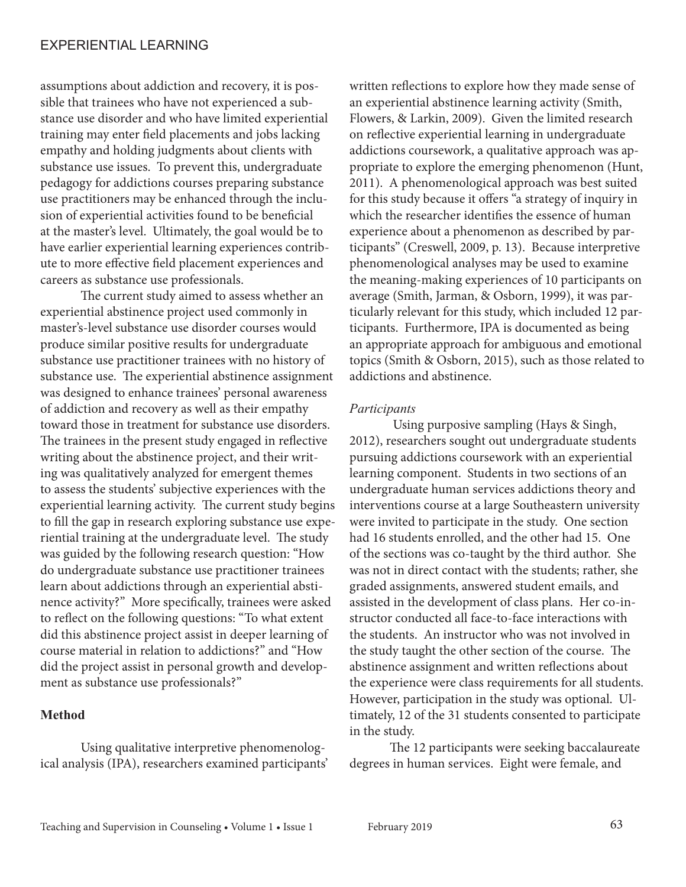assumptions about addiction and recovery, it is possible that trainees who have not experienced a substance use disorder and who have limited experiential training may enter field placements and jobs lacking empathy and holding judgments about clients with substance use issues. To prevent this, undergraduate pedagogy for addictions courses preparing substance use practitioners may be enhanced through the inclusion of experiential activities found to be beneficial at the master's level. Ultimately, the goal would be to have earlier experiential learning experiences contribute to more effective field placement experiences and careers as substance use professionals.

The current study aimed to assess whether an experiential abstinence project used commonly in master's-level substance use disorder courses would produce similar positive results for undergraduate substance use practitioner trainees with no history of substance use. The experiential abstinence assignment was designed to enhance trainees' personal awareness of addiction and recovery as well as their empathy toward those in treatment for substance use disorders. The trainees in the present study engaged in reflective writing about the abstinence project, and their writing was qualitatively analyzed for emergent themes to assess the students' subjective experiences with the experiential learning activity. The current study begins to fill the gap in research exploring substance use experiential training at the undergraduate level. The study was guided by the following research question: "How do undergraduate substance use practitioner trainees learn about addictions through an experiential abstinence activity?" More specifically, trainees were asked to reflect on the following questions: "To what extent did this abstinence project assist in deeper learning of course material in relation to addictions?" and "How did the project assist in personal growth and development as substance use professionals?"

#### **Method**

Using qualitative interpretive phenomenological analysis (IPA), researchers examined participants' written reflections to explore how they made sense of an experiential abstinence learning activity (Smith, Flowers, & Larkin, 2009). Given the limited research on reflective experiential learning in undergraduate addictions coursework, a qualitative approach was appropriate to explore the emerging phenomenon (Hunt, 2011). A phenomenological approach was best suited for this study because it offers "a strategy of inquiry in which the researcher identifies the essence of human experience about a phenomenon as described by participants" (Creswell, 2009, p. 13). Because interpretive phenomenological analyses may be used to examine the meaning-making experiences of 10 participants on average (Smith, Jarman, & Osborn, 1999), it was particularly relevant for this study, which included 12 participants. Furthermore, IPA is documented as being an appropriate approach for ambiguous and emotional topics (Smith & Osborn, 2015), such as those related to addictions and abstinence.

#### *Participants*

 Using purposive sampling (Hays & Singh, 2012), researchers sought out undergraduate students pursuing addictions coursework with an experiential learning component. Students in two sections of an undergraduate human services addictions theory and interventions course at a large Southeastern university were invited to participate in the study. One section had 16 students enrolled, and the other had 15. One of the sections was co-taught by the third author. She was not in direct contact with the students; rather, she graded assignments, answered student emails, and assisted in the development of class plans. Her co-instructor conducted all face-to-face interactions with the students. An instructor who was not involved in the study taught the other section of the course. The abstinence assignment and written reflections about the experience were class requirements for all students. However, participation in the study was optional. Ultimately, 12 of the 31 students consented to participate in the study.

The 12 participants were seeking baccalaureate degrees in human services. Eight were female, and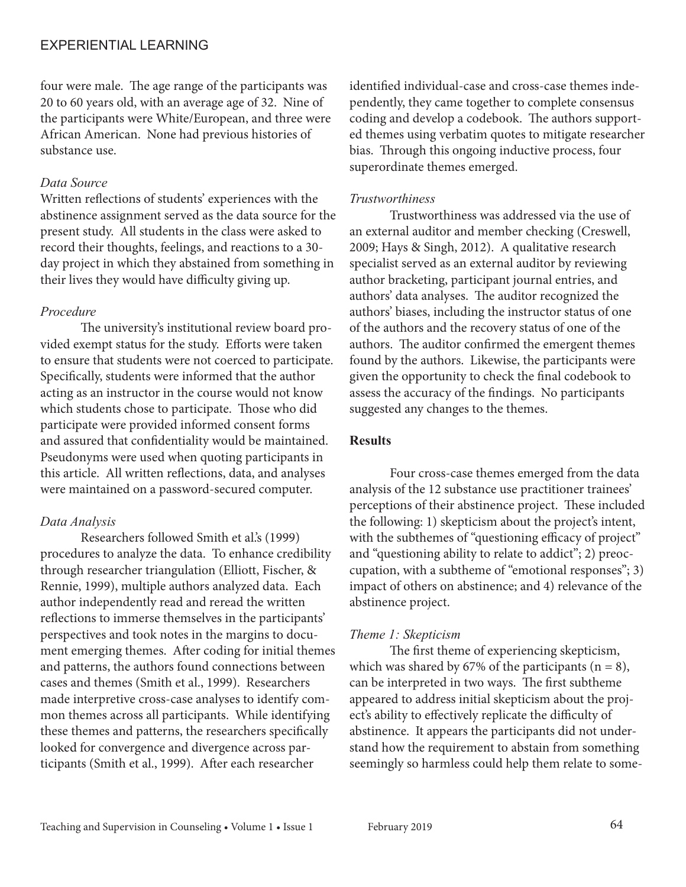four were male. The age range of the participants was 20 to 60 years old, with an average age of 32. Nine of the participants were White/European, and three were African American. None had previous histories of substance use.

#### *Data Source*

Written reflections of students' experiences with the abstinence assignment served as the data source for the present study. All students in the class were asked to record their thoughts, feelings, and reactions to a 30 day project in which they abstained from something in their lives they would have difficulty giving up.

#### *Procedure*

The university's institutional review board provided exempt status for the study. Efforts were taken to ensure that students were not coerced to participate. Specifically, students were informed that the author acting as an instructor in the course would not know which students chose to participate. Those who did participate were provided informed consent forms and assured that confidentiality would be maintained. Pseudonyms were used when quoting participants in this article. All written reflections, data, and analyses were maintained on a password-secured computer.

#### *Data Analysis*

Researchers followed Smith et al.'s (1999) procedures to analyze the data. To enhance credibility through researcher triangulation (Elliott, Fischer, & Rennie, 1999), multiple authors analyzed data. Each author independently read and reread the written reflections to immerse themselves in the participants' perspectives and took notes in the margins to document emerging themes. After coding for initial themes and patterns, the authors found connections between cases and themes (Smith et al., 1999). Researchers made interpretive cross-case analyses to identify common themes across all participants. While identifying these themes and patterns, the researchers specifically looked for convergence and divergence across participants (Smith et al., 1999). After each researcher

identified individual-case and cross-case themes independently, they came together to complete consensus coding and develop a codebook. The authors supported themes using verbatim quotes to mitigate researcher bias. Through this ongoing inductive process, four superordinate themes emerged.

#### *Trustworthiness*

Trustworthiness was addressed via the use of an external auditor and member checking (Creswell, 2009; Hays & Singh, 2012). A qualitative research specialist served as an external auditor by reviewing author bracketing, participant journal entries, and authors' data analyses. The auditor recognized the authors' biases, including the instructor status of one of the authors and the recovery status of one of the authors. The auditor confirmed the emergent themes found by the authors. Likewise, the participants were given the opportunity to check the final codebook to assess the accuracy of the findings. No participants suggested any changes to the themes.

#### **Results**

Four cross-case themes emerged from the data analysis of the 12 substance use practitioner trainees' perceptions of their abstinence project. These included the following: 1) skepticism about the project's intent, with the subthemes of "questioning efficacy of project" and "questioning ability to relate to addict"; 2) preoccupation, with a subtheme of "emotional responses"; 3) impact of others on abstinence; and 4) relevance of the abstinence project.

#### *Theme 1: Skepticism*

The first theme of experiencing skepticism, which was shared by 67% of the participants ( $n = 8$ ), can be interpreted in two ways. The first subtheme appeared to address initial skepticism about the project's ability to effectively replicate the difficulty of abstinence. It appears the participants did not understand how the requirement to abstain from something seemingly so harmless could help them relate to some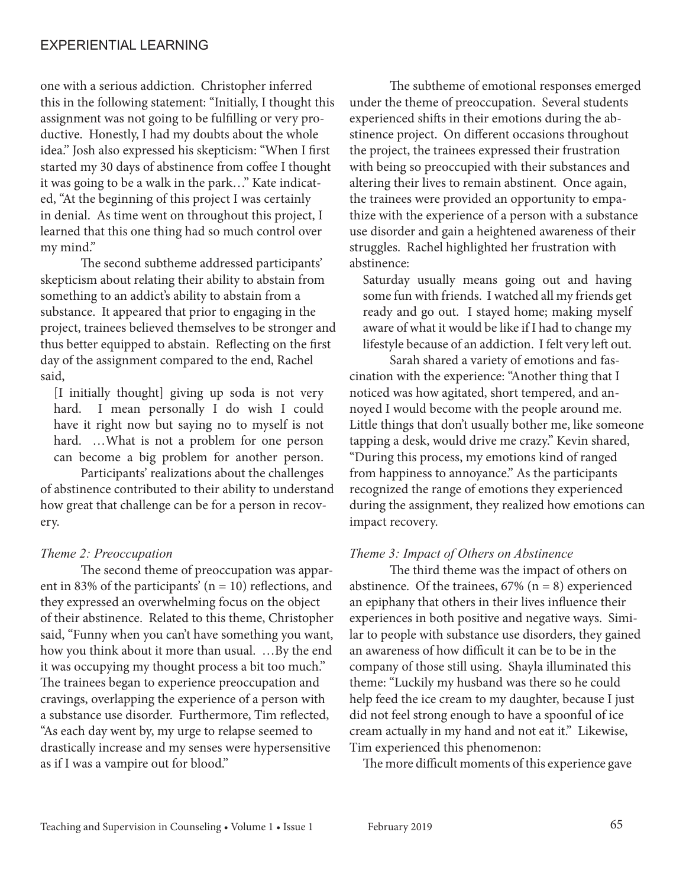one with a serious addiction. Christopher inferred this in the following statement: "Initially, I thought this assignment was not going to be fulfilling or very productive. Honestly, I had my doubts about the whole idea." Josh also expressed his skepticism: "When I first started my 30 days of abstinence from coffee I thought it was going to be a walk in the park…" Kate indicated, "At the beginning of this project I was certainly in denial. As time went on throughout this project, I learned that this one thing had so much control over my mind."

The second subtheme addressed participants' skepticism about relating their ability to abstain from something to an addict's ability to abstain from a substance. It appeared that prior to engaging in the project, trainees believed themselves to be stronger and thus better equipped to abstain. Reflecting on the first day of the assignment compared to the end, Rachel said,

[I initially thought] giving up soda is not very hard. I mean personally I do wish I could have it right now but saying no to myself is not hard. ...What is not a problem for one person can become a big problem for another person.

Participants' realizations about the challenges of abstinence contributed to their ability to understand how great that challenge can be for a person in recovery.

#### *Theme 2: Preoccupation*

The second theme of preoccupation was apparent in 83% of the participants' ( $n = 10$ ) reflections, and they expressed an overwhelming focus on the object of their abstinence. Related to this theme, Christopher said, "Funny when you can't have something you want, how you think about it more than usual. …By the end it was occupying my thought process a bit too much." The trainees began to experience preoccupation and cravings, overlapping the experience of a person with a substance use disorder. Furthermore, Tim reflected, "As each day went by, my urge to relapse seemed to drastically increase and my senses were hypersensitive as if I was a vampire out for blood."

The subtheme of emotional responses emerged under the theme of preoccupation. Several students experienced shifts in their emotions during the abstinence project. On different occasions throughout the project, the trainees expressed their frustration with being so preoccupied with their substances and altering their lives to remain abstinent. Once again, the trainees were provided an opportunity to empathize with the experience of a person with a substance use disorder and gain a heightened awareness of their struggles. Rachel highlighted her frustration with abstinence:

Saturday usually means going out and having some fun with friends. I watched all my friends get ready and go out. I stayed home; making myself aware of what it would be like if I had to change my lifestyle because of an addiction. I felt very left out.

Sarah shared a variety of emotions and fascination with the experience: "Another thing that I noticed was how agitated, short tempered, and annoyed I would become with the people around me. Little things that don't usually bother me, like someone tapping a desk, would drive me crazy." Kevin shared, "During this process, my emotions kind of ranged from happiness to annoyance." As the participants recognized the range of emotions they experienced during the assignment, they realized how emotions can impact recovery.

#### *Theme 3: Impact of Others on Abstinence*

The third theme was the impact of others on abstinence. Of the trainees,  $67\%$  (n = 8) experienced an epiphany that others in their lives influence their experiences in both positive and negative ways. Similar to people with substance use disorders, they gained an awareness of how difficult it can be to be in the company of those still using. Shayla illuminated this theme: "Luckily my husband was there so he could help feed the ice cream to my daughter, because I just did not feel strong enough to have a spoonful of ice cream actually in my hand and not eat it." Likewise, Tim experienced this phenomenon:

The more difficult moments of this experience gave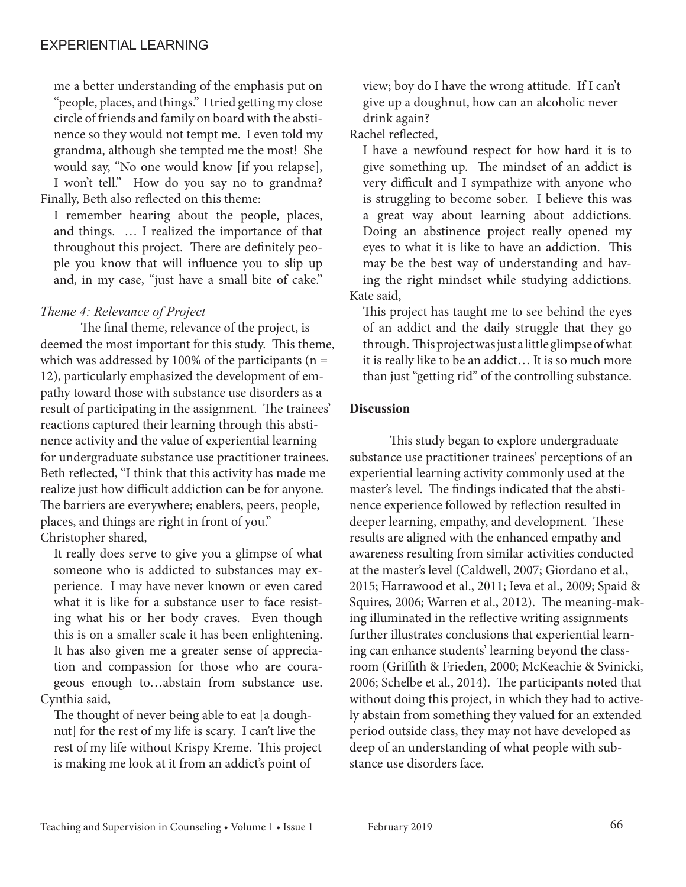me a better understanding of the emphasis put on "people, places, and things." I tried getting my close circle of friends and family on board with the abstinence so they would not tempt me. I even told my grandma, although she tempted me the most! She would say, "No one would know [if you relapse], I won't tell." How do you say no to grandma? Finally, Beth also reflected on this theme:

I remember hearing about the people, places, and things. … I realized the importance of that throughout this project. There are definitely people you know that will influence you to slip up and, in my case, "just have a small bite of cake."

#### *Theme 4: Relevance of Project*

The final theme, relevance of the project, is deemed the most important for this study. This theme, which was addressed by 100% of the participants ( $n =$ 12), particularly emphasized the development of empathy toward those with substance use disorders as a result of participating in the assignment. The trainees' reactions captured their learning through this abstinence activity and the value of experiential learning for undergraduate substance use practitioner trainees. Beth reflected, "I think that this activity has made me realize just how difficult addiction can be for anyone. The barriers are everywhere; enablers, peers, people, places, and things are right in front of you." Christopher shared,

It really does serve to give you a glimpse of what someone who is addicted to substances may experience. I may have never known or even cared what it is like for a substance user to face resisting what his or her body craves. Even though this is on a smaller scale it has been enlightening. It has also given me a greater sense of appreciation and compassion for those who are courageous enough to…abstain from substance use. Cynthia said,

The thought of never being able to eat [a doughnut] for the rest of my life is scary. I can't live the rest of my life without Krispy Kreme. This project is making me look at it from an addict's point of

view; boy do I have the wrong attitude. If I can't give up a doughnut, how can an alcoholic never drink again?

Rachel reflected,

I have a newfound respect for how hard it is to give something up. The mindset of an addict is very difficult and I sympathize with anyone who is struggling to become sober. I believe this was a great way about learning about addictions. Doing an abstinence project really opened my eyes to what it is like to have an addiction. This may be the best way of understanding and having the right mindset while studying addictions. Kate said,

This project has taught me to see behind the eyes of an addict and the daily struggle that they go through. This project was just a little glimpse of what it is really like to be an addict… It is so much more than just "getting rid" of the controlling substance.

#### **Discussion**

This study began to explore undergraduate substance use practitioner trainees' perceptions of an experiential learning activity commonly used at the master's level. The findings indicated that the abstinence experience followed by reflection resulted in deeper learning, empathy, and development. These results are aligned with the enhanced empathy and awareness resulting from similar activities conducted at the master's level (Caldwell, 2007; Giordano et al., 2015; Harrawood et al., 2011; Ieva et al., 2009; Spaid & Squires, 2006; Warren et al., 2012). The meaning-making illuminated in the reflective writing assignments further illustrates conclusions that experiential learning can enhance students' learning beyond the classroom (Griffith & Frieden, 2000; McKeachie & Svinicki, 2006; Schelbe et al., 2014). The participants noted that without doing this project, in which they had to actively abstain from something they valued for an extended period outside class, they may not have developed as deep of an understanding of what people with substance use disorders face.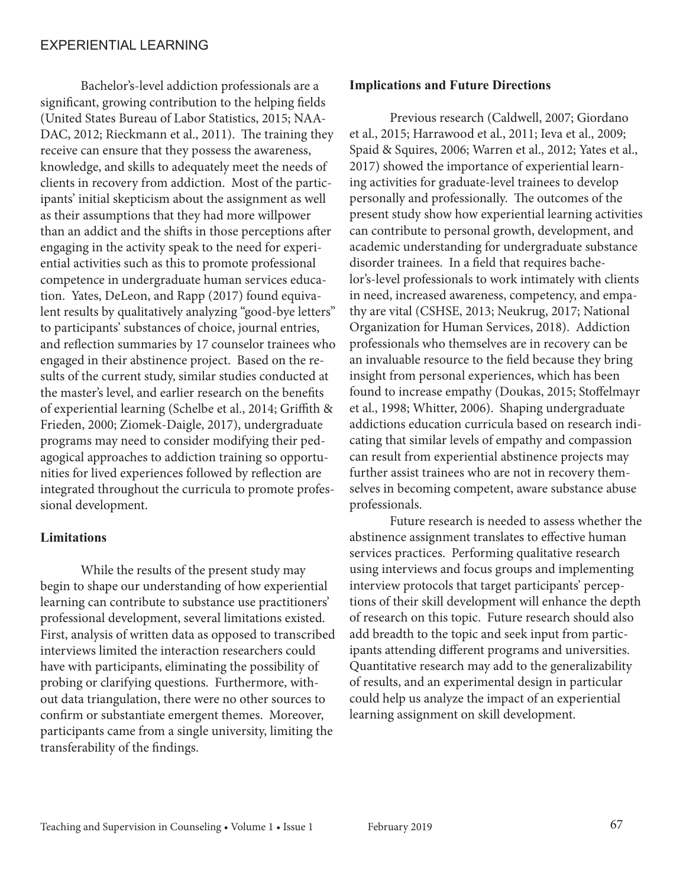Bachelor's-level addiction professionals are a significant, growing contribution to the helping fields (United States Bureau of Labor Statistics, 2015; NAA-DAC, 2012; Rieckmann et al., 2011). The training they receive can ensure that they possess the awareness, knowledge, and skills to adequately meet the needs of clients in recovery from addiction. Most of the participants' initial skepticism about the assignment as well as their assumptions that they had more willpower than an addict and the shifts in those perceptions after engaging in the activity speak to the need for experiential activities such as this to promote professional competence in undergraduate human services education. Yates, DeLeon, and Rapp (2017) found equivalent results by qualitatively analyzing "good-bye letters" to participants' substances of choice, journal entries, and reflection summaries by 17 counselor trainees who engaged in their abstinence project. Based on the results of the current study, similar studies conducted at the master's level, and earlier research on the benefits of experiential learning (Schelbe et al., 2014; Griffith & Frieden, 2000; Ziomek-Daigle, 2017), undergraduate programs may need to consider modifying their pedagogical approaches to addiction training so opportunities for lived experiences followed by reflection are integrated throughout the curricula to promote professional development.

#### **Limitations**

While the results of the present study may begin to shape our understanding of how experiential learning can contribute to substance use practitioners' professional development, several limitations existed. First, analysis of written data as opposed to transcribed interviews limited the interaction researchers could have with participants, eliminating the possibility of probing or clarifying questions. Furthermore, without data triangulation, there were no other sources to confirm or substantiate emergent themes. Moreover, participants came from a single university, limiting the transferability of the findings.

#### **Implications and Future Directions**

Previous research (Caldwell, 2007; Giordano et al., 2015; Harrawood et al., 2011; Ieva et al., 2009; Spaid & Squires, 2006; Warren et al., 2012; Yates et al., 2017) showed the importance of experiential learning activities for graduate-level trainees to develop personally and professionally. The outcomes of the present study show how experiential learning activities can contribute to personal growth, development, and academic understanding for undergraduate substance disorder trainees. In a field that requires bachelor's-level professionals to work intimately with clients in need, increased awareness, competency, and empathy are vital (CSHSE, 2013; Neukrug, 2017; National Organization for Human Services, 2018). Addiction professionals who themselves are in recovery can be an invaluable resource to the field because they bring insight from personal experiences, which has been found to increase empathy (Doukas, 2015; Stoffelmayr et al., 1998; Whitter, 2006). Shaping undergraduate addictions education curricula based on research indicating that similar levels of empathy and compassion can result from experiential abstinence projects may further assist trainees who are not in recovery themselves in becoming competent, aware substance abuse professionals.

Future research is needed to assess whether the abstinence assignment translates to effective human services practices. Performing qualitative research using interviews and focus groups and implementing interview protocols that target participants' perceptions of their skill development will enhance the depth of research on this topic. Future research should also add breadth to the topic and seek input from participants attending different programs and universities. Quantitative research may add to the generalizability of results, and an experimental design in particular could help us analyze the impact of an experiential learning assignment on skill development.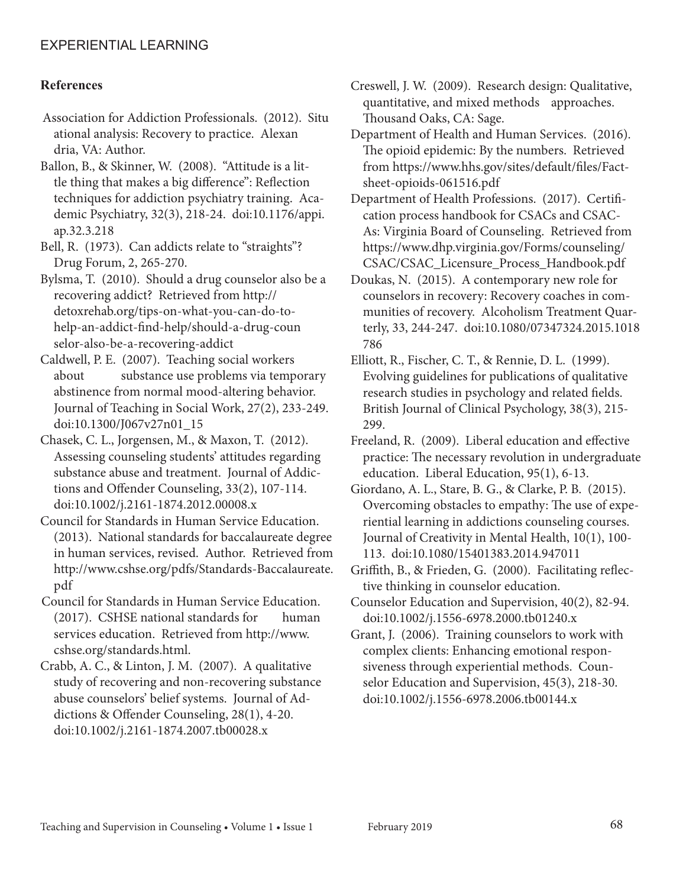#### **References**

Association for Addiction Professionals. (2012). Situ ational analysis: Recovery to practice. Alexan dria, VA: Author.

Ballon, B., & Skinner, W. (2008). "Attitude is a little thing that makes a big difference": Reflection techniques for addiction psychiatry training. Academic Psychiatry, 32(3), 218-24. doi:10.1176/appi. ap.32.3.218

Bell, R. (1973). Can addicts relate to "straights"? Drug Forum, 2, 265-270.

Bylsma, T. (2010). Should a drug counselor also be a recovering addict? Retrieved from http:// detoxrehab.org/tips-on-what-you-can-do-tohelp-an-addict-find-help/should-a-drug-coun selor-also-be-a-recovering-addict

Caldwell, P. E. (2007). Teaching social workers about substance use problems via temporary abstinence from normal mood-altering behavior. Journal of Teaching in Social Work, 27(2), 233-249. doi:10.1300/J067v27n01\_15

Chasek, C. L., Jorgensen, M., & Maxon, T. (2012). Assessing counseling students' attitudes regarding substance abuse and treatment. Journal of Addictions and Offender Counseling, 33(2), 107-114. doi:10.1002/j.2161-1874.2012.00008.x

Council for Standards in Human Service Education. (2013). National standards for baccalaureate degree in human services, revised. Author. Retrieved from http://www.cshse.org/pdfs/Standards-Baccalaureate. pdf

Council for Standards in Human Service Education. (2017). CSHSE national standards for human services education. Retrieved from http://www. cshse.org/standards.html.

Crabb, A. C., & Linton, J. M. (2007). A qualitative study of recovering and non-recovering substance abuse counselors' belief systems. Journal of Addictions & Offender Counseling, 28(1), 4-20. doi:10.1002/j.2161-1874.2007.tb00028.x

Creswell, J. W. (2009). Research design: Qualitative, quantitative, and mixed methods approaches. Thousand Oaks, CA: Sage.

Department of Health and Human Services. (2016). The opioid epidemic: By the numbers. Retrieved from https://www.hhs.gov/sites/default/files/Factsheet-opioids-061516.pdf

Department of Health Professions. (2017). Certification process handbook for CSACs and CSAC-As: Virginia Board of Counseling. Retrieved from https://www.dhp.virginia.gov/Forms/counseling/ CSAC/CSAC\_Licensure\_Process\_Handbook.pdf

Doukas, N. (2015). A contemporary new role for counselors in recovery: Recovery coaches in communities of recovery. Alcoholism Treatment Quarterly, 33, 244-247. doi:10.1080/07347324.2015.1018 786

Elliott, R., Fischer, C. T., & Rennie, D. L. (1999). Evolving guidelines for publications of qualitative research studies in psychology and related fields. British Journal of Clinical Psychology, 38(3), 215- 299.

Freeland, R. (2009). Liberal education and effective practice: The necessary revolution in undergraduate education. Liberal Education, 95(1), 6-13.

Giordano, A. L., Stare, B. G., & Clarke, P. B. (2015). Overcoming obstacles to empathy: The use of experiential learning in addictions counseling courses. Journal of Creativity in Mental Health, 10(1), 100- 113. doi:10.1080/15401383.2014.947011

Griffith, B., & Frieden, G. (2000). Facilitating reflective thinking in counselor education.

Counselor Education and Supervision, 40(2), 82-94. doi:10.1002/j.1556-6978.2000.tb01240.x

Grant, J. (2006). Training counselors to work with complex clients: Enhancing emotional responsiveness through experiential methods. Counselor Education and Supervision, 45(3), 218-30. doi:10.1002/j.1556-6978.2006.tb00144.x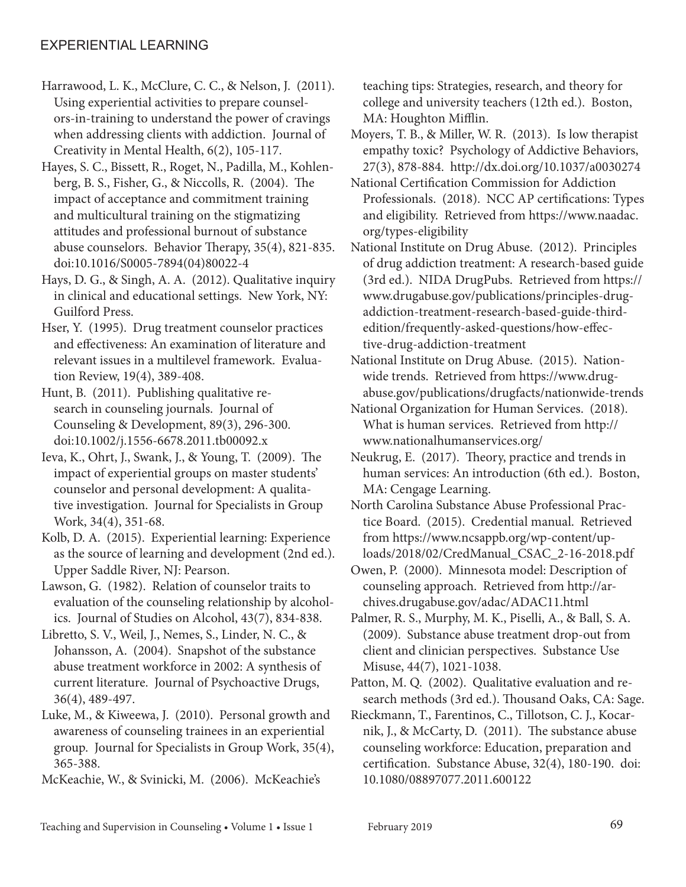- Harrawood, L. K., McClure, C. C., & Nelson, J. (2011). Using experiential activities to prepare counselors-in-training to understand the power of cravings when addressing clients with addiction. Journal of Creativity in Mental Health, 6(2), 105-117.
- Hayes, S. C., Bissett, R., Roget, N., Padilla, M., Kohlenberg, B. S., Fisher, G., & Niccolls, R. (2004). The impact of acceptance and commitment training and multicultural training on the stigmatizing attitudes and professional burnout of substance abuse counselors. Behavior Therapy, 35(4), 821-835. doi:10.1016/S0005-7894(04)80022-4
- Hays, D. G., & Singh, A. A. (2012). Qualitative inquiry in clinical and educational settings. New York, NY: Guilford Press.
- Hser, Y. (1995). Drug treatment counselor practices and effectiveness: An examination of literature and relevant issues in a multilevel framework. Evaluation Review, 19(4), 389-408.
- Hunt, B. (2011). Publishing qualitative research in counseling journals. Journal of Counseling & Development, 89(3), 296-300. doi:10.1002/j.1556-6678.2011.tb00092.x
- Ieva, K., Ohrt, J., Swank, J., & Young, T. (2009). The impact of experiential groups on master students' counselor and personal development: A qualitative investigation. Journal for Specialists in Group Work, 34(4), 351-68.
- Kolb, D. A. (2015). Experiential learning: Experience as the source of learning and development (2nd ed.). Upper Saddle River, NJ: Pearson.
- Lawson, G. (1982). Relation of counselor traits to evaluation of the counseling relationship by alcoholics. Journal of Studies on Alcohol, 43(7), 834-838.
- Libretto, S. V., Weil, J., Nemes, S., Linder, N. C., & Johansson, A. (2004). Snapshot of the substance abuse treatment workforce in 2002: A synthesis of current literature. Journal of Psychoactive Drugs, 36(4), 489-497.
- Luke, M., & Kiweewa, J. (2010). Personal growth and awareness of counseling trainees in an experiential group. Journal for Specialists in Group Work, 35(4), 365-388.
- McKeachie, W., & Svinicki, M. (2006). McKeachie's

teaching tips: Strategies, research, and theory for college and university teachers (12th ed.). Boston, MA: Houghton Mifflin.

Moyers, T. B., & Miller, W. R. (2013). Is low therapist empathy toxic? Psychology of Addictive Behaviors, 27(3), 878-884. http://dx.doi.org/10.1037/a0030274

National Certification Commission for Addiction Professionals. (2018). NCC AP certifications: Types and eligibility. Retrieved from https://www.naadac. org/types-eligibility

- National Institute on Drug Abuse. (2012). Principles of drug addiction treatment: A research-based guide (3rd ed.). NIDA DrugPubs. Retrieved from https:// www.drugabuse.gov/publications/principles-drugaddiction-treatment-research-based-guide-thirdedition/frequently-asked-questions/how-effective-drug-addiction-treatment
- National Institute on Drug Abuse. (2015). Nationwide trends. Retrieved from https://www.drugabuse.gov/publications/drugfacts/nationwide-trends
- National Organization for Human Services. (2018). What is human services. Retrieved from http:// www.nationalhumanservices.org/
- Neukrug, E. (2017). Theory, practice and trends in human services: An introduction (6th ed.). Boston, MA: Cengage Learning.
- North Carolina Substance Abuse Professional Practice Board. (2015). Credential manual. Retrieved from https://www.ncsappb.org/wp-content/uploads/2018/02/CredManual\_CSAC\_2-16-2018.pdf
- Owen, P. (2000). Minnesota model: Description of counseling approach. Retrieved from http://archives.drugabuse.gov/adac/ADAC11.html
- Palmer, R. S., Murphy, M. K., Piselli, A., & Ball, S. A. (2009). Substance abuse treatment drop-out from client and clinician perspectives. Substance Use Misuse, 44(7), 1021-1038.
- Patton, M. Q. (2002). Qualitative evaluation and research methods (3rd ed.). Thousand Oaks, CA: Sage.
- Rieckmann, T., Farentinos, C., Tillotson, C. J., Kocarnik, J., & McCarty, D. (2011). The substance abuse counseling workforce: Education, preparation and certification. Substance Abuse, 32(4), 180-190. doi: 10.1080/08897077.2011.600122